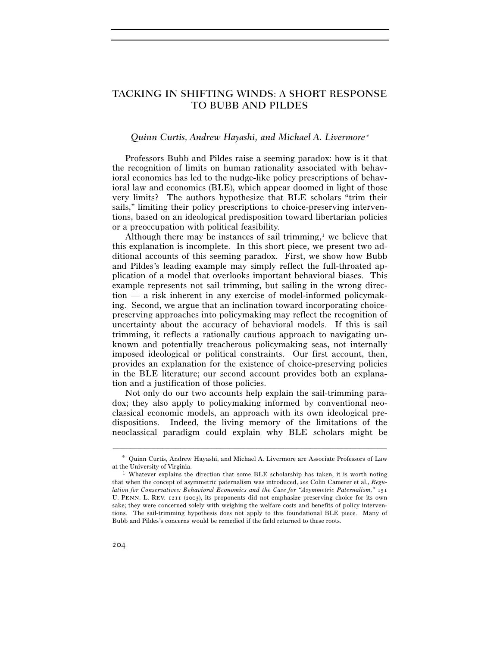# TACKING IN SHIFTING WINDS: A SHORT RESPONSE TO BUBB AND PILDES

# *Quinn Curtis, Andrew Hayashi, and Michael A. Livermore*<sup>∗</sup>

Professors Bubb and Pildes raise a seeming paradox: how is it that the recognition of limits on human rationality associated with behavioral economics has led to the nudge-like policy prescriptions of behavioral law and economics (BLE), which appear doomed in light of those very limits? The authors hypothesize that BLE scholars "trim their sails," limiting their policy prescriptions to choice-preserving interventions, based on an ideological predisposition toward libertarian policies or a preoccupation with political feasibility.

Although there may be instances of sail trimming,<sup>1</sup> we believe that this explanation is incomplete. In this short piece, we present two additional accounts of this seeming paradox. First, we show how Bubb and Pildes's leading example may simply reflect the full-throated application of a model that overlooks important behavioral biases. This example represents not sail trimming, but sailing in the wrong direction — a risk inherent in any exercise of model-informed policymaking. Second, we argue that an inclination toward incorporating choicepreserving approaches into policymaking may reflect the recognition of uncertainty about the accuracy of behavioral models. If this is sail trimming, it reflects a rationally cautious approach to navigating unknown and potentially treacherous policymaking seas, not internally imposed ideological or political constraints. Our first account, then, provides an explanation for the existence of choice-preserving policies in the BLE literature; our second account provides both an explanation and a justification of those policies.

Not only do our two accounts help explain the sail-trimming paradox; they also apply to policymaking informed by conventional neoclassical economic models, an approach with its own ideological predispositions. Indeed, the living memory of the limitations of the neoclassical paradigm could explain why BLE scholars might be

<sup>–––––––––––––––––––––––––––––––––––––––––––––––––––––––––––––</sup> ∗ Quinn Curtis, Andrew Hayashi, and Michael A. Livermore are Associate Professors of Law at the University of Virginia. 1 Whatever explains the direction that some BLE scholarship has taken, it is worth noting

that when the concept of asymmetric paternalism was introduced, *see* Colin Camerer et al., *Regulation for Conservatives: Behavioral Economics and the Case for "Asymmetric Paternalism,"* 151 U. PENN. L. REV. 1211 (2003), its proponents did not emphasize preserving choice for its own sake; they were concerned solely with weighing the welfare costs and benefits of policy interventions. The sail-trimming hypothesis does not apply to this foundational BLE piece. Many of Bubb and Pildes's concerns would be remedied if the field returned to these roots.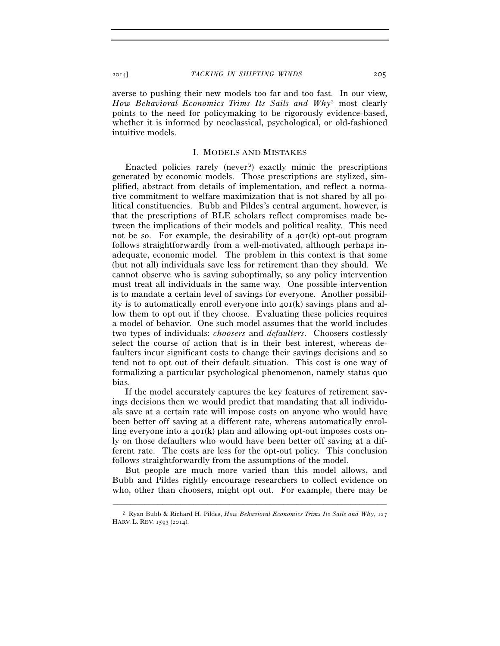averse to pushing their new models too far and too fast. In our view, *How Behavioral Economics Trims Its Sails and Why*2 most clearly points to the need for policymaking to be rigorously evidence-based, whether it is informed by neoclassical, psychological, or old-fashioned intuitive models.

## I. MODELS AND MISTAKES

Enacted policies rarely (never?) exactly mimic the prescriptions generated by economic models. Those prescriptions are stylized, simplified, abstract from details of implementation, and reflect a normative commitment to welfare maximization that is not shared by all political constituencies. Bubb and Pildes's central argument, however, is that the prescriptions of BLE scholars reflect compromises made between the implications of their models and political reality. This need not be so. For example, the desirability of a  $40I(k)$  opt-out program follows straightforwardly from a well-motivated, although perhaps inadequate, economic model. The problem in this context is that some (but not all) individuals save less for retirement than they should. We cannot observe who is saving suboptimally, so any policy intervention must treat all individuals in the same way. One possible intervention is to mandate a certain level of savings for everyone. Another possibility is to automatically enroll everyone into 401(k) savings plans and allow them to opt out if they choose. Evaluating these policies requires a model of behavior. One such model assumes that the world includes two types of individuals: *choosers* and *defaulters*. Choosers costlessly select the course of action that is in their best interest, whereas defaulters incur significant costs to change their savings decisions and so tend not to opt out of their default situation. This cost is one way of formalizing a particular psychological phenomenon, namely status quo bias.

If the model accurately captures the key features of retirement savings decisions then we would predict that mandating that all individuals save at a certain rate will impose costs on anyone who would have been better off saving at a different rate, whereas automatically enrolling everyone into a 401(k) plan and allowing opt-out imposes costs only on those defaulters who would have been better off saving at a different rate. The costs are less for the opt-out policy. This conclusion follows straightforwardly from the assumptions of the model.

But people are much more varied than this model allows, and Bubb and Pildes rightly encourage researchers to collect evidence on who, other than choosers, might opt out. For example, there may be

<sup>–––––––––––––––––––––––––––––––––––––––––––––––––––––––––––––</sup> 2 Ryan Bubb & Richard H. Pildes, *How Behavioral Economics Trims Its Sails and Why*, 127 HARV. L. REV. 1593 (2014).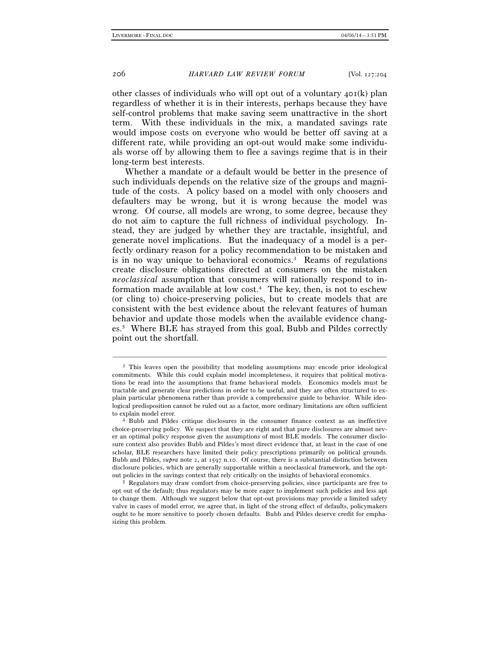206 *HARVARD LAW REVIEW FORUM* [Vol. 127:204

other classes of individuals who will opt out of a voluntary 401(k) plan regardless of whether it is in their interests, perhaps because they have self-control problems that make saving seem unattractive in the short term. With these individuals in the mix, a mandated savings rate would impose costs on everyone who would be better off saving at a different rate, while providing an opt-out would make some individuals worse off by allowing them to flee a savings regime that is in their long-term best interests.

Whether a mandate or a default would be better in the presence of such individuals depends on the relative size of the groups and magnitude of the costs. A policy based on a model with only choosers and defaulters may be wrong, but it is wrong because the model was wrong. Of course, all models are wrong, to some degree, because they do not aim to capture the full richness of individual psychology. Instead, they are judged by whether they are tractable, insightful, and generate novel implications. But the inadequacy of a model is a perfectly ordinary reason for a policy recommendation to be mistaken and is in no way unique to behavioral economics.3 Reams of regulations create disclosure obligations directed at consumers on the mistaken *neoclassical* assumption that consumers will rationally respond to information made available at low cost.4 The key, then, is not to eschew (or cling to) choice-preserving policies, but to create models that are consistent with the best evidence about the relevant features of human behavior and update those models when the available evidence changes.5 Where BLE has strayed from this goal, Bubb and Pildes correctly point out the shortfall.

–––––––––––––––––––––––––––––––––––––––––––––––––––––––––––––

 $3$  This leaves open the possibility that modeling assumptions may encode prior ideological commitments. While this could explain model incompleteness, it requires that political motivations be read into the assumptions that frame behavioral models. Economics models must be tractable and generate clear predictions in order to be useful, and they are often structured to explain particular phenomena rather than provide a comprehensive guide to behavior. While ideological predisposition cannot be ruled out as a factor, more ordinary limitations are often sufficient to explain model error. 4 Bubb and Pildes critique disclosures in the consumer finance context as an ineffective

choice-preserving policy. We suspect that they are right and that pure disclosures are almost never an optimal policy response given the assumptions of most BLE models. The consumer disclosure context also provides Bubb and Pildes's most direct evidence that, at least in the case of one scholar, BLE researchers have limited their policy prescriptions primarily on political grounds. Bubb and Pildes, *supra* note 2, at 1597 n.10. Of course, there is a substantial distinction between disclosure policies, which are generally supportable within a neoclassical framework, and the optout policies in the savings context that rely critically on the insights of behavioral economics. 5 Regulators may draw comfort from choice-preserving policies, since participants are free to

opt out of the default; thus regulators may be more eager to implement such policies and less apt to change them. Although we suggest below that opt-out provisions may provide a limited safety valve in cases of model error, we agree that, in light of the strong effect of defaults, policymakers ought to be more sensitive to poorly chosen defaults. Bubb and Pildes deserve credit for emphasizing this problem.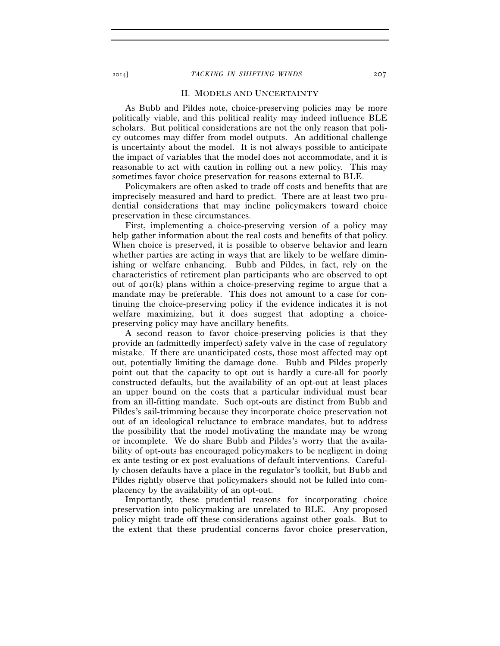#### 2014] *TACKING IN SHIFTING WINDS* 207

## II. MODELS AND UNCERTAINTY

As Bubb and Pildes note, choice-preserving policies may be more politically viable, and this political reality may indeed influence BLE scholars. But political considerations are not the only reason that policy outcomes may differ from model outputs. An additional challenge is uncertainty about the model. It is not always possible to anticipate the impact of variables that the model does not accommodate, and it is reasonable to act with caution in rolling out a new policy. This may sometimes favor choice preservation for reasons external to BLE.

Policymakers are often asked to trade off costs and benefits that are imprecisely measured and hard to predict. There are at least two prudential considerations that may incline policymakers toward choice preservation in these circumstances.

First, implementing a choice-preserving version of a policy may help gather information about the real costs and benefits of that policy. When choice is preserved, it is possible to observe behavior and learn whether parties are acting in ways that are likely to be welfare diminishing or welfare enhancing. Bubb and Pildes, in fact, rely on the characteristics of retirement plan participants who are observed to opt out of  $401(k)$  plans within a choice-preserving regime to argue that a mandate may be preferable. This does not amount to a case for continuing the choice-preserving policy if the evidence indicates it is not welfare maximizing, but it does suggest that adopting a choicepreserving policy may have ancillary benefits.

A second reason to favor choice-preserving policies is that they provide an (admittedly imperfect) safety valve in the case of regulatory mistake. If there are unanticipated costs, those most affected may opt out, potentially limiting the damage done. Bubb and Pildes properly point out that the capacity to opt out is hardly a cure-all for poorly constructed defaults, but the availability of an opt-out at least places an upper bound on the costs that a particular individual must bear from an ill-fitting mandate. Such opt-outs are distinct from Bubb and Pildes's sail-trimming because they incorporate choice preservation not out of an ideological reluctance to embrace mandates, but to address the possibility that the model motivating the mandate may be wrong or incomplete. We do share Bubb and Pildes's worry that the availability of opt-outs has encouraged policymakers to be negligent in doing ex ante testing or ex post evaluations of default interventions. Carefully chosen defaults have a place in the regulator's toolkit, but Bubb and Pildes rightly observe that policymakers should not be lulled into complacency by the availability of an opt-out.

Importantly, these prudential reasons for incorporating choice preservation into policymaking are unrelated to BLE. Any proposed policy might trade off these considerations against other goals. But to the extent that these prudential concerns favor choice preservation,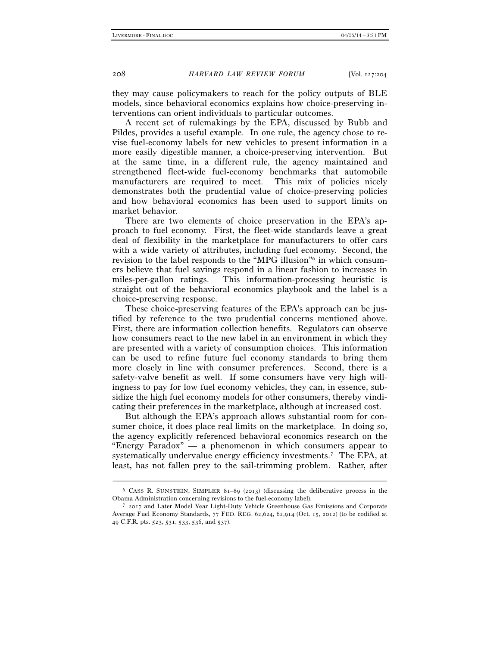208 *HARVARD LAW REVIEW FORUM* [Vol. 127:204

they may cause policymakers to reach for the policy outputs of BLE models, since behavioral economics explains how choice-preserving interventions can orient individuals to particular outcomes.

A recent set of rulemakings by the EPA, discussed by Bubb and Pildes, provides a useful example. In one rule, the agency chose to revise fuel-economy labels for new vehicles to present information in a more easily digestible manner, a choice-preserving intervention. But at the same time, in a different rule, the agency maintained and strengthened fleet-wide fuel-economy benchmarks that automobile manufacturers are required to meet. This mix of policies nicely demonstrates both the prudential value of choice-preserving policies and how behavioral economics has been used to support limits on market behavior.

There are two elements of choice preservation in the EPA's approach to fuel economy. First, the fleet-wide standards leave a great deal of flexibility in the marketplace for manufacturers to offer cars with a wide variety of attributes, including fuel economy. Second, the revision to the label responds to the "MPG illusion"6 in which consumers believe that fuel savings respond in a linear fashion to increases in miles-per-gallon ratings. This information-processing heuristic is straight out of the behavioral economics playbook and the label is a choice-preserving response.

These choice-preserving features of the EPA's approach can be justified by reference to the two prudential concerns mentioned above. First, there are information collection benefits. Regulators can observe how consumers react to the new label in an environment in which they are presented with a variety of consumption choices. This information can be used to refine future fuel economy standards to bring them more closely in line with consumer preferences. Second, there is a safety-valve benefit as well. If some consumers have very high willingness to pay for low fuel economy vehicles, they can, in essence, subsidize the high fuel economy models for other consumers, thereby vindicating their preferences in the marketplace, although at increased cost.

But although the EPA's approach allows substantial room for consumer choice, it does place real limits on the marketplace. In doing so, the agency explicitly referenced behavioral economics research on the "Energy Paradox" — a phenomenon in which consumers appear to systematically undervalue energy efficiency investments.<sup>7</sup> The EPA, at least, has not fallen prey to the sail-trimming problem. Rather, after

<sup>–––––––––––––––––––––––––––––––––––––––––––––––––––––––––––––</sup>  $6$  CASS R. SUNSTEIN, SIMPLER  $81-89$  (2013) (discussing the deliberative process in the Obama Administration concerning revisions to the fuel-economy label). 7 <sup>2017</sup> and Later Model Year Light-Duty Vehicle Greenhouse Gas Emissions and Corporate

Average Fuel Economy Standards, 77 FED. REG. 62,624, 62,914 (Oct. 15, 2012) (to be codified at 49 C.F.R. pts. 523, 531, 533, 536, and 537).